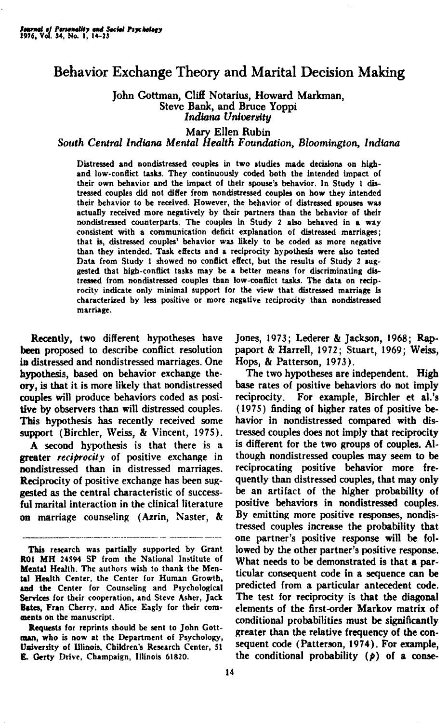# Behavior Exchange Theory and Marital Decision Making

**John Gottman, Cliff Notarius, Howard Markman, Steve Bank, and Bruce Yoppi** *Indiana University*

**Mary Ellen Rubin**

*South Central Indiana Mental Health Foundation, Bloomington, Indiana*

Distressed and nondistressed couples in two studies made decisions on high**and low-conflict tasks. They continuously coded both the intended impact of their own behavior and the impact of their spouse's behavior. In Study 1 distressed couples did not differ from nondistressed couples on how they intended their behavior to be received. However, the behavior of distressed spouses was actually received more negatively by their partners than the behavior of their nondistressed counterparts. The couples in Study 2 also behaved in a way consistent with a communication deficit explanation of distressed marriages; that is, distressed couples' behavior was likely to be coded as more negative than they intended. Task effects and a reciprocity hypothesis were also tested Data from Study 1 showed no conflict effect, but the results of Study 2 suggested that high-conflict tasks may be a better means for discriminating distressed from nondistressed couples than low-conflict tasks. The data on reciprocity indicate only minimal support for the view that distressed marriage is characterized by less positive or more negative reciprocity than nondistressed marriage.**

**Recently, two different hypotheses have been proposed to describe conflict resolution in distressed and nondistressed marriages. One hypothesis, based on behavior exchange theory, is that it is more likely that nondistressed couples will produce behaviors coded as positive by observers than will distressed couples. This hypothesis has recently received some support (Birchler, Weiss, & Vincent, 1975).**

**A second hypothesis is that there is a greater** *reciprocity* **of positive exchange in nondistressed than in distressed marriages. Reciprocity of positive exchange has been sug**gested as the central characteristic of success**ful marital interaction in the clinical literature on marriage counseling (Azrin, Naster, &**

**This research was partially supported by Grant R01 MH 24594 SP from the National Institute of Mental Health. The authors wish to thank the Mental Health Center, the Center for Human Growth, and the Center for Counseling and Psychological Services for their cooperation, and Steve Asher, Jack Bates, Fran Cherry, and Alice Eagly for their comments on the manuscript.**

**Requests for reprints should be sent to John Gottman, who is now at the Department of Psychology, University of Illinois, Children's Research Center, 51 E. Gerty Drive, Champaign, Illinois 61820.**

**Jones, 1973; Lederer & Jackson, 1968; Rappaport & Harrell, 1972; Stuart, 1969; Weiss, Hops, & Patterson, 1973).**

**The two hypotheses are independent. High base rates of positive behaviors do not imply reciprocity. For example, Birchler et al.'s (197S) finding of higher rates of positive behavior in nondistressed compared with distressed couples does not imply that reciprocity is different for the two groups of couples. Although nondistressed couples may seem to be reciprocating positive behavior more frequently than distressed couples, that may only be an artifact of the higher probability of positive behaviors in nondistressed couples. By emitting more positive responses, nondistressed couples increase the probability that one partner's positive response will be followed by the other partner's positive response. What needs to be demonstrated is that a particular consequent code in a sequence can be predicted from a particular antecedent code. The test for reciprocity is that the diagonal elements of the first-order Markov matrix of conditional probabilities must be significantly greater than the relative frequency of the consequent code (Patterson, 1974). For example, the conditional probability** *(p)* **of a conse-**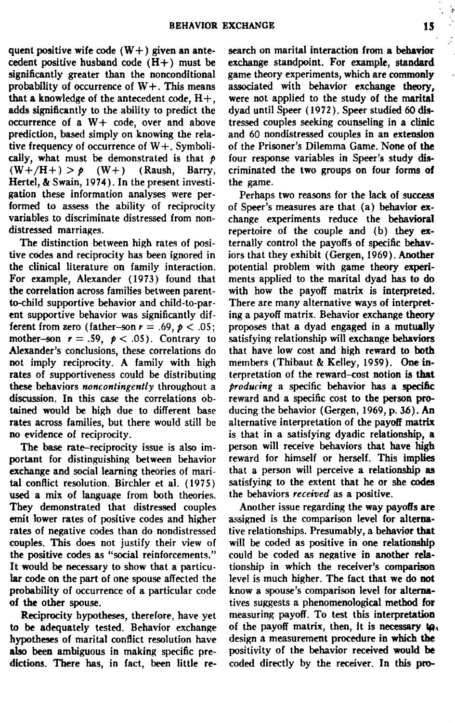quent positive wife code  $(W +)$  given an antecedent positive husband code  $(H+)$  must be significantly greater than the nonconditional probability of occurrence of  $W +$ . This means that a knowledge of the antecedent code,  $H +$ . adds significantly to the ability to predict the occurrence of a W+ code, over and above prediction, based simply on knowing the relative frequency of occurrence of  $W +$ . Symbolically, what must be demonstrated is that *p*  $(W+/H+) > p$   $(W+)$  (Raush, Barry, Hertel, & Swain, 1974). In the present investigation these information analyses were performed to assess the ability of reciprocity variables to discriminate distressed from nondistressed marriages.

The distinction between high rates of positive codes and reciprocity has been ignored in the clinical literature on family interaction. For example, Alexander (1973) found that the correlation across families between parentto-child supportive behavior and child-to-parent supportive behavior was significantly different from zero (father-son  $r = .69$ ,  $p < .05$ ; mother-son  $r = .59$ ,  $p < .05$ ). Contrary to Alexander's conclusions, these correlations do not imply reciprocity. A family with high rates of supportiveness could be distributing these behaviors *noncontingently* throughout a discussion. In this case the correlations obtained would be high due to different base rates across families, but there would still be no evidence of reciprocity.

The base rate-reciprocity issue is also important for distinguishing between behavior exchange and social learning theories of marital conflict resolution. Birchler et al. (1975) used a mix of language from both theories. They demonstrated that distressed couples emit lower rates of positive codes and higher rates of negative codes than do nondistressed couples. This does not justify their view of the positive codes as "social reinforcements." It would be necessary to show that a particular code on the part of one spouse affected the probability of occurrence of a particular code of the other spouse.

Reciprocity hypotheses, therefore, have yet to be adequately tested. Behavior exchange hypotheses of marital conflict resolution have also been ambiguous in making specific predictions. There has, in fact, been little research on marital interaction from a behavior exchange standpoint. For example, standard game theory experiments, which are commonly associated with behavior exchange theory, were not applied to the study of the marital dyad until Speer (1972). Speer studied 60 distressed couples seeking counseling in a clinic and 60 nondistressed couples in an extension of the Prisoner's Dilemma Game. None of the four response variables in Speer's study discriminated the two groups on four forms of the game.

Perhaps two reasons for the lack of success of Speer's measures are that (a) behavior exchange experiments reduce the behavioral repertoire of the couple and (b) they externally control the payoffs of specific behaviors that they exhibit (Gergen, 1969). Another potential problem with game theory experiments applied to the marital dyad has to do with how the payoff matrix is interpreted. There are many alternative ways of interpreting a payoff matrix. Behavior exchange theory proposes that a dyad engaged in a mutually satisfying relationship will exchange behaviors that have low cost and high reward to both members (Thibaut & Kelley, 1959). One interpretation of the reward-cost notion is that *producing* a specific behavior has a specific reward and a specific cost to the person producing the behavior (Gergen,  $1969$ , p.  $36$ ). An alternative interpretation of the payoff matrix is that in a satisfying dyadic relationship, a person will receive behaviors that have high reward for himself or herself. This implies that a person will perceive a relationship as satisfying to the extent that he or she codes the behaviors *received* as a positive.

Another issue regarding the way payoffs are assigned is the comparison level for alternative relationships. Presumably, a behavior that will be coded as positive in one relationship could be coded as negative in another relationship in which the receiver's comparison level is much higher. The fact that we do not know a spouse's comparison level for alternatives suggests a phenomenological method for measuring payoff. To test this interpretation of the payoff matrix, then, it is necessary  $\mathbf{Q}_*$ design a measurement procedure in which the positivity of the behavior received would be coded directly by the receiver. In this pro-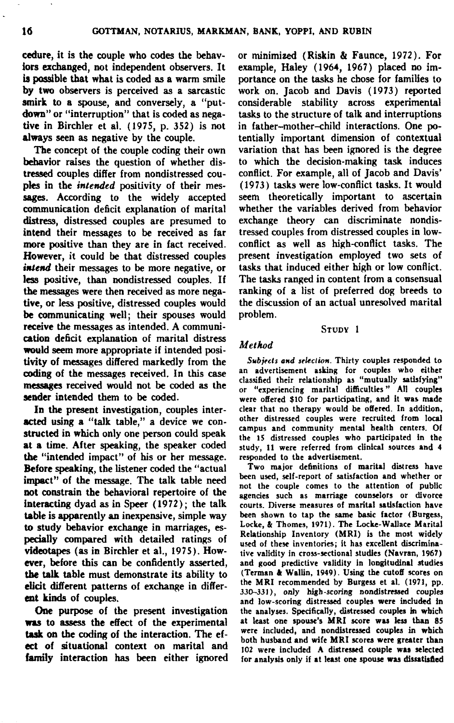**cedure, it is the couple who codes the behaviors exchanged, not independent observers. It is possible that what is coded as a warm smile by two observers is perceived as a sarcastic smirk to a spouse, and conversely, a "putdown" or "interruption" that is coded as negative in Birchler et al. (1975, p. 352) is not always seen as negative by the couple.**

**The concept of the couple coding their own behavior raises the question of whether distressed couples differ from nondistressed couples in the** *intended* **positivity of their messages. According to the widely accepted communication deficit explanation of marital distress, distressed couples are presumed to intend their messages to be received as far more positive than they are in fact received. However, it could be that distressed couples** *intend* **their messages to be more negative, or less positive, than nondistressed couples. If the messages were then received as more negative, or less positive, distressed couples would be communicating well; their spouses would receive the messages as intended. A communication deficit explanation of marital distress would seem more appropriate if intended positivity of messages differed markedly from the coding of the messages received. In this case messages received would not be coded as the sender intended them to be coded.**

**In the present investigation, couples interacted using a "talk table," a device we constructed in which only one person could speak at a time. After speaking, the speaker coded the "intended impact" of his or her message. Before speaking, the listener coded the "actual impact" of the message. The talk table need not constrain the behavioral repertoire of the interacting dyad as in Speer (1972); the talk table is apparently an inexpensive, simple way to study behavior exchange in marriages, especially compared with detailed ratings of videotapes (as in Birchler et al., 1975). However, before this can be confidently asserted, the talk table must demonstrate its ability to elicit different patterns of exchange in different kinds of couples.**

**One purpose of the present investigation was to assess the effect of the experimental task on the coding of the interaction. The ef**ect of situational context on marital and **family interaction has been either ignored** **or minimized (Riskin & Faunce, 1972). For example, Haley (1964, 1967) placed no importance on the tasks he chose for families to work on. Jacob and Davis (1973) reported considerable stability across experimental tasks to the structure of talk and interruptions in father-mother-child interactions. One potentially important dimension of contextual variation that has been ignored is the degree to which the decision-making task induces conflict. For example, all of Jacob and Davis' (1973) tasks were low-conflict tasks. It would seem theoretically important to ascertain whether the variables derived from behavior exchange theory can discriminate nondistressed couples from distressed couples in lowconflict as well as high-conflict tasks. The present investigation employed two sets of tasks that induced either high or low conflict. The tasks ranged in content from a consensual ranking of a list of preferred dog breeds to the discussion of an actual unresolved marital problem.**

## **STUDY 1**

# *Method*

*Subjects and selection.* **Thirty couples responded to an advertisement asking for couples who either classified their relationship as "mutually satisfying" or "experiencing marital difficulties" All couples were offered \$10 for participating, and it was made clear that no therapy would be offered. In addition, other distressed couples were recruited from local campus and community mental health centers. Of the 15 distressed couples who participated in the study, 11 were referred from clinical sources and 4 responded to the advertisement.**

**Two major definitions of marital distress have been used, self-report of satisfaction and whether or not the couple comes to the attention of public agencies such as marriage counselors or divorce courts. Diverse measures of marital satisfaction have been shown to tap the same basic factor (Burgess, Locke, & Thomes, 1971). The Locke-Wallace Marital Relationship Inventory (MRI) is the most widely used of these inventories; it has excellent discriminative validity in cross-sectional studies (Navran, 1967) and good predictive validity in longitudinal studies (Terman ft Wallin, 1949). Using the cutoff scores on the MRI recommended by Burgess et al. (1971, pp. 330-331), only high-scoring nondistressed couples and low-scoring distressed couples were included in the analyses. Specifically, distressed couples in which at least one spouse's MRI score was less than 85 were included, and nondistressed couples in which both husband and wife MRI scores were greater than 102 were included A distressed couple was selected for analysis only if at least one spouse was dissatisfied**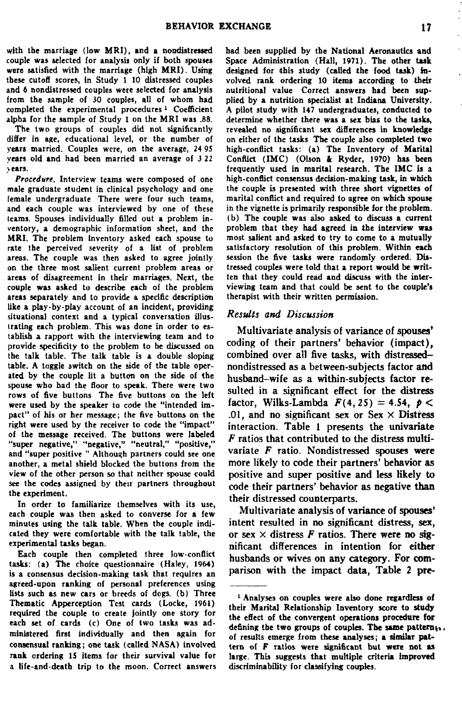**with the marriage (low MRI), and a nondistressed couple was selected for analysis only if both spouses were satisfied with the marriage (high MRI). Using these cutoff scores, in Study 1 10 distressed couples and 6 nondistressed couples were selected for analysis from the sample of 30 couples, all of whom had completed the experimental procedures<sup>l</sup> Coefficient alpha for the sample of Study 1 on the MRI was .88.**

**The two groups of couples did not significantly differ in age, educational level, or the number of years married. Couples were, on the average, 24 95 years old and had been married an average of** *3* **22 v ears.**

*Procedure.* **Interview teams were composed of one male graduate student in clinical psychology and one female undergraduate There were four such teams, and each couple was interviewed by one of these teams. Spouses individually filled out a problem inventory, a demographic information sheet, and the MRI. The problem Inventory asked each spouse to rate the perceived severity of a list of problem areas. The couple was then asked to agree jointly on the three most salient current problem areas or areas of disagreement in their marriages. Next, the couple was asked to describe each of the problem areas separately and to provide a specific description like a play-by-play account of an incident, providing situational context and a typical conversation illustrating each problem. This was done in order to establish a rapport with the interviewing team and to provide specificity to the problem to be discussed on the talk table. The talk table is a double sloping table. A toggle switch on the side of the table operated by the couple lit a button on the side of the spouse who had the floor to speak. There were two rows of five buttons The five buttons on the left were used by the speaker to code the "intended impact" of his or her message; the five buttons on the right were used by the receiver to code the "impact" of the message receiver** to code the impact of the message feceived, fhe buttons were fabeled<br>"positive," "new" "positive," "positive," "super negative," "negative," "neutral," "positive," and "super positive " Although partners could see one another, a metal shield blocked the buttons from the view of the other person so that neither spouse could see the codes assigned by their partners throughout the experiment.

**In order to familiarize themselves with its use, each couple was then asked to converse for a few minutes using the talk table. When the couple indicated they were comfortable with the talk table, the experimental tasks began.**

**Each couple then completed three low-conflict tasks: (a) The choice questionnaire (Haley, 1964) is a consensus decision-making task that requires an agreed-upon ranking of personal preferences using lists such as new cars or breeds of dogs, (b) Three Thematic Apperception Test cards (Locke, 1961) required the couple to create jointly one story for each set of cards (c) One of two tasks was administered first individually and then again for consensual ranking; one task (called NASA) involved rank ordering 15 items for their survival value for a life-and-death trip to the moon. Correct answers** **had been supplied by the National Aeronautics and Space Administration (Hall, 1971). The other task designed for this study (called the food task) involved rank ordering 10 items according to their nutritional value Correct answers had been supplied by a nutrition speciab'st at Indiana University. A pilot study with 147 undergraduates, conducted to determine whether there was a sex bias to the tasks, revealed no significant sex differences in knowledge on either of the tasks The couple also completed two high-conflict tasks: (a) The Inventory of Marital** Conflict (IMC) (Olson & Ryder, 1970) has been **frequently used in marital research. The IMC is a high-conflict consensus decision-making task, in which the couple is presented with three short vignettes of marital conflict and required to agree on which spouse in the vignette is primarily responsible for the problem, (b) The couple was also asked to discuss a current problem that they had agreed in the interview was most salient and asked to try to come to a mutually satisfactory resolution of this problem. Within each session the five tasks were randomly ordered. Distressed couples were told that a report would be written that they could read and discuss with the interviewing team and that could be sent to the couple's therapist with their written permission.**

## *Results and Discussion*

Multivariate analysis of variance of spouses' coding of their partners' behavior (impact), combined over all five tasks, with distressednondistressed as a between-subjects factor and husband-wife as a within-subjects factor resulted in a significant effect for the distress factor, Wilks-Lambda  $F(4, 25) = 4.54$ ,  $p <$ .01, and no significant sex or Sex  $\times$  Distress interaction. Table 1 presents the univariate *F* ratios that contributed to the distress multivariate *F* ratio. Nondistressed spouses were more likely to code their partners' behavior as positive and super positive and less likely to code their partners' behavior as negative than their distressed counterparts.

Multivariate analysis of variance of spouses' intent resulted in no significant distress, sex, or sex  $\times$  distress  $F$  ratios. There were no significant differences in intention for either husbands or wives on any category. For comparison with the impact data, Table 2 pre-

**<sup>1</sup> Analyses on couples were also done regardless of their Marital Relationship Inventory score to study the effect of the convergent operations procedure for** defining the two groups of couples. The same pattern<sub>iv</sub>, **of results emerge from these analyses; a similar pat**tern of *F* ratios were significant but were not as **large. This suggests that multiple criteria improved discriminabflity for classifying couples.**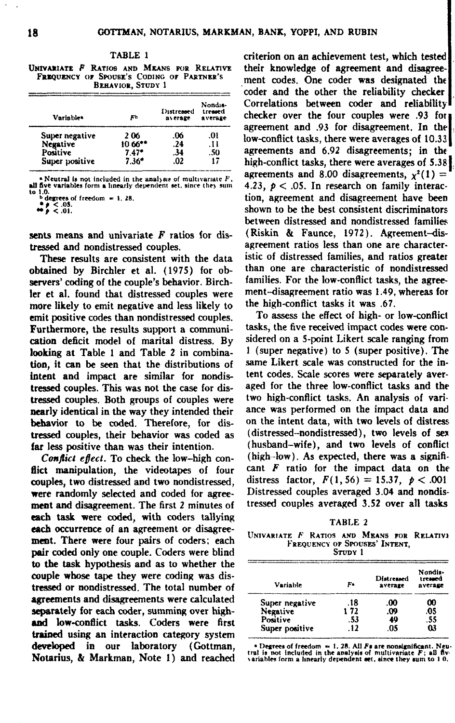| UNIVARIATE F RATIOS AND MEANS FOR RELATIVE<br>FREQUENCY OF SPOUSE'S CODING OF PARTNER'S<br><b>BEHAVIOR, STUDY 1</b> |  |
|---------------------------------------------------------------------------------------------------------------------|--|
|                                                                                                                     |  |

TABLE 1

| Variable*       | FЪ        |     | Nondia-<br>tressed<br>average |  |
|-----------------|-----------|-----|-------------------------------|--|
| Super negative  | 206       | .06 | .01                           |  |
| <b>Negative</b> | $10.66**$ | .24 | .11                           |  |
| Positive        | $7.47*$   | .34 | .50                           |  |
| Super positive  | $7.36*$   | .02 | 17                            |  |

 $\bullet$  Neutral is not included in the analysis of multivariate  $F$ , **all five variables form a linearly dependent set, since thev sum**

**to 1.0.**<br>**b** degrees of freedom = 1, 28.

 $\frac{1}{2}$   $\leq$  05.

sents means and univariate *F* ratios for distressed and nondistressed couples.

These results are consistent with the data obtained by Birchler et al. (1975) for observers' coding of the couple's behavior. Birchler et al. found that distressed couples were more likely to emit negative and less likely to emit positive codes than nondistressed couples. Furthermore, the results support a communication deficit model of marital distress. By looking at Table 1 and Table 2 in combination, it can be seen that the distributions of intent and impact are similar for nondistressed couples. This was not the case for distressed couples. Both groups of couples were nearly identical in the way they intended their behavior to be coded. Therefore, for distressed couples, their behavior was coded as far less positive than was their intention.

*Conflict effect.* To check the low-high conflict manipulation, the videotapes of four couples, two distressed and two nondistressed, were randomly selected and coded for agreement and disagreement. The first 2 minutes of each task were coded, with coders tallying each occurrence of an agreement or disagreement. There were four pairs of coders; each pair coded only one couple. Coders were blind to the task hypothesis and as to whether the couple whose tape they were coding was distressed or nondistressed. The total number of agreements and disagreements were calculated separately for each coder, summing over high**and** low-conflict tasks. Coders were first trained using an interaction category system developed in our laboratory (Gottman, Notarius, & Markman, Note 1) and reached criterion on an achievement test, which tested their knowledge of agreement and disagreement codes. One coder was designated the coder and the other the reliability checker Correlations between coder and reliability checker over the four couples were .93 foti agreement and .93 for disagreement. In the! low-conflict tasks, there were averages of 10.33 agreements and 6.92 disagreements; in the high-conflict tasks, there were averages of  $5.38$ agreements and 8.00 disagreements,  $\chi^2(1) =$ 4.23,  $p < .05$ . In research on family interaction, agreement and disagreement have been shown to be the best consistent discriminators between distressed and nondistressed families (Riskin & Faunce, 1972). Agreement-disagreement ratios less than one are characteristic of distressed families, and ratios greater than one are characteristic of nondistressed families. For the low-conflict tasks, the agreement-disagreement ratio was 1.49, whereas for the high-conflict tasks it was .67.

To assess the effect of high- or low-conflict tasks, the five received impact codes were considered on a S-point Likert scale ranging from 1 (super negative) to 5 (super positive). The same Likert scale was constructed for the intent codes. Scale scores were separately averaged for the three low-conflict tasks and the two high-conflict tasks. An analysis of variance was performed on the impact data and on the intent data, with two levels of distress (distressed-nondistressed), two levels of sex (husband-wife), and two levels of conflict (high-low). As expected, there was a significant *F* ratio for the impact data on the distress factor,  $F(1, 56) = 15.37$ ,  $p < .001$ Distressed couples averaged 3.04 and nondistressed couples averaged 3.52 over all tasks

TABLE 2

**UNIVARIATE** *F* **RATIOS AND MEANS FOR RELATIVI FREQUENCY OF SPOUSES' INTENT, STUDY 1**

| Variable       | F٠   | Distressed<br>average | Nondis-<br>tressed<br>average |
|----------------|------|-----------------------|-------------------------------|
| Super negative | .18  | .00                   | m                             |
| Negative       | 1 72 | .09                   | .OS                           |
| Positive       | .53  | 40                    | .55                           |
| Super positive | .12  | .05                   | Ω3                            |

**\* Degrees of freedom « t, 28. Ail** *F§* **are nonsignificant. Neu\* tral is not Included in the analysis of muUivariate** *F;* **all flv** variables form a linearly dependent set, since they sum to 1.0.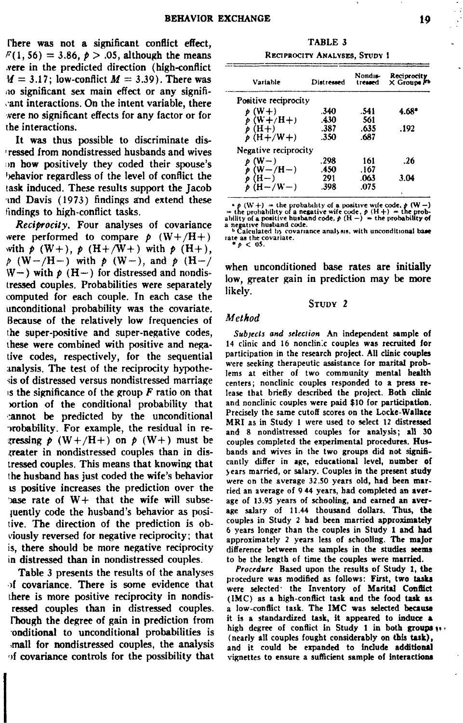There was not a significant conflict effect,  $F(1, 56) = 3.86, p > .05$ , although the means .vere in the predicted direction (high-conflict  $M = 3.17$ ; low-conflict  $M = 3.39$ ). There was no significant sex main effect or any significant interactions. On the intent variable, there were no significant effects for any factor or for the interactions.

It was thus possible to discriminate disressed from nondistressed husbands and wives *m* how positively they coded their spouse's ! )ehavior regardless of the level of conflict the task induced. These results support the Jacob md Davis (1973) findings and extend these findings to high-conflict tasks.

*Reciprocity.* Four analyses of covariance were performed to compare  $p (W+/H+)$ with  $p(W+), p(H+/W+)$  with  $p(H+),$  $p(W-/H-)$  with  $p(W-)$ , and  $p(W-)$  $W-$ ) with  $p(H-)$  for distressed and nondistressed couples. Probabilities were separately computed for each couple. In each case the unconditional probability was the covariate. Because of the relatively low frequencies of the super-positive and super-negative codes, these were combined with positive and negative codes, respectively, for the sequential analysis. The test of the reciprocity hypothesis of distressed versus nondistressed marriage is the significance of the group *F* ratio on that wtion of the conditional probability that cannot be predicted by the unconditional probability. For example, the residual in regressing  $p(W+/\mathrm{H+})$  on  $p(W+)$  must be greater in nondistressed couples than in distressed couples. This means that knowing that the husband has just coded the wife's behavior is positive increases the prediction over the  $base$  rate of  $W+$  that the wife will subsejuently code the husband's behavior as positive. The direction of the prediction is obviously reversed for negative reciprocity; that is, there should be more negative reciprocity in distressed than in nondistressed couples.

Table 3 presents the results of the analyses if covariance. There is some evidence that there is more positive reciprocity in nondisressed couples than in distressed couples. Fhough the degree of gain in prediction from onditional to unconditional probabilities is •mall for nondistressed couples, the analysis )f covariance controls for the possibility that

**TABLE 3**

**RECIPROCITY ANALYSES, STUDY 1**

| Variable                      | Distressed | Nondis-<br>tressed | Reciprocity<br>$\times$ Groupe $F^b$ |  |
|-------------------------------|------------|--------------------|--------------------------------------|--|
| Positive reciprocity          |            |                    |                                      |  |
| $p(W+)$                       | .340       | .541               | 4.68*                                |  |
| $b(W+ / H + )$                | .430       | 561                |                                      |  |
| $p(H+)$                       | .387       | .635               | .192                                 |  |
| $b(H+/W+)$                    | .350       | .687               |                                      |  |
| Negative reciprocity          |            |                    |                                      |  |
| $p(W-)$                       | .298       | 161                | .26                                  |  |
|                               | .450       | .167               |                                      |  |
| $\phi$ (W-/H-)<br>$\phi$ (H-) | 291        | .063               | 3.04                                 |  |
| $(H - / W - )$                | .398       | .075               |                                      |  |
|                               |            |                    |                                      |  |

• p (W+) = the probability of a positive wife code, p (W -) = the probability of a negative wife code, p (H+) = the prob-<br>ability of a positive husband code, p (H+) = the probability of<br>a hegative husband code, p (H+) = t

rate as the covariate.<br> **•**  $\rho < 05$ .

when unconditioned base rates are initially low, greater gain in prediction may be more likely.

#### STUDY 2

## *Method*

*Subjects and selection* **An independent sample of 14 clinic and 16 nonclin.c couples was recruited for participation in the research project. All clinic couples** were seeking therapeutic assistance for marital prob**lems at either of two community mental health centers; nonclinic couples responded to a press release that briefly described the project. Both clinic and nonclinic couples were paid \$10 for participation. Precisely the same cutoff scores on the Locke-Wallace MRI as in Study 1 were used to select 12 distressed and 8 nondistressed couples for analysis; all 30 couples completed the experimental procedures. Husbands and wives in the two groups did not significantly differ in age, educational level, number of years married, or salary. Couples in the present study were on the average 32.50 years old, had been married an average of 9 44 years, had completed an average of 13.95 years of schooling, and earned an average salary of 11.44 thousand dollars. Thus, the couples in Study 2 had been married approximately 6 years longer than the couples in Study 1 and had approximately 2 years less of schooling. The major difference between the samples in the studies seems to be the length of time the couples were married.**

*Procedure* **Based upon the results of Study 1, the procedure was modified as follows: First, two tasks were selected' the Inventory of Marital Conflict (IMC) as a high-conflict task and the food task as a low-conflict task. The IMC was selected because it is a standardized task, it appeared to induce a** high degree of conflict in Study 1 in both groups **v (nearly all couples fought considerably on this task), and it could be expanded to include additional vignettes to ensure a sufficient sample of interactions**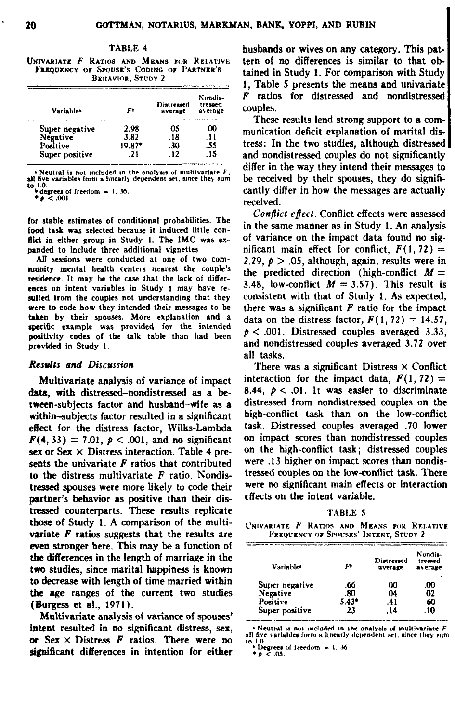**TABLE 4**

| UNIVARIATE F RATIOS AND MEANS FOR RELATIVE |                   |  |  |  |
|--------------------------------------------|-------------------|--|--|--|
| FREQUENCY OF SPOUSE'S CODING OF PARTNER'S  |                   |  |  |  |
|                                            | BEHAVIOR, STUDY 2 |  |  |  |

| Variable•      | FЪ     | Distressed<br>average | Nondis-<br>tressed<br>average |
|----------------|--------|-----------------------|-------------------------------|
| Super negative | 2.98   | 05                    | œ                             |
| Negative       | 3.82   | .18                   | .11                           |
| Positive       | 19.87* | .30                   | .55                           |
| Super positive | .21    | .12                   | .15                           |

**' Neutral is not included in the analysis of multivariate** *F.* all five variables form a hnearly dependent set, since they sum **to 1.0. \* degree\* of freedom «** *I, 36.*

**\*t < .001**

**for stable estimates of conditional probabilities. The food task was selected because it induced little conflict in either group in Study 1. The IMC was expanded to include three additional vignettes**

**All sessions were conducted at one of two community mental health centers nearest the couple's residence. It may be the case that the lack of differences on intent variables in Study 1 may have resulted from the couples not understanding that they were to code how they intended their messages to be taken by their spouses. More explanation and a specific example was provided for the intended positivity codes of the talk table than had been provided in Study 1.**

## *Results and Discussion*

**Multivariate analysis of variance of impact data, with distressed-nondistressed as a between-subjects factor and husband-wife as a within-subjects factor resulted in a significant effect for the distress factor, Wilks-Lambda**  $F(4, 33) = 7.01$ ,  $p < .001$ , and no significant **sex or Sex X Distress interaction. Table 4 presents the univariate** *F* **ratios that contributed to the distress multivariate** *F* **ratio. Nondistressed spouses were more likely to code their partner's behavior as positive than their distressed counterparts. These results replicate those of Study 1. A comparison of the multivariate** *F* **ratios suggests that the results are even stronger here. This may be a function of the differences in the length of marriage in the two studies, since marital happiness is known to decrease with length of time married within the age ranges of the current two studies (Burgess et al., 1971).**

**Multivariate analysis of variance of spouses' intent resulted in no significant distress, sex, or Sex X Distress** *F* **ratios. There were no significant differences in intention for either** **husbands or wives on any category. This pattern of no differences is similar to that obtained in Study 1. For comparison with Study 1, Table 5 presents the means and univariate** *F* **ratios for distressed and nondistressed couples.**

**These results lend strong support to a communication deficit explanation of marital distress: In the two studies, although distressed and nondistressed couples do not significantly differ in the way they intend their messages to be received by their spouses, they do significantly differ in how the messages are actually received.**

*Conflict effect.* **Conflict effects were assessed in the same manner as in Study 1. An analysis of variance on the impact data found no significant main effect for conflict,**  $F(1,72) =$ 2.29,  $p > 0.05$ , although, again, results were in **the predicted direction (high-conflict** *M —* 3.48, low-conflict  $M = 3.57$ ). This result is **consistent with that of Study 1. As expected, there was a significant** *F* **ratio for the impact** data on the distress factor,  $F(1, 72) = 14.57$ , *p<* **.001. Distressed couples averaged 3.33, and nondistressed couples averaged 3.72 over all tasks.**

**There was a significant Distress x Conflict** interaction for the impact data,  $F(1, 72) =$ **8.44,** *p<* **.01. It was easier to discriminate distressed from nondistressed couples on the high-conflict task than on the low-conflict task. Distressed couples averaged .70 lower on impact scores than nondistressed couples on the high-conflict task; distressed couples were .13 higher on impact scores than nondistressed couples on the low-conflict task. There were no significant main effects or interaction effects on the intent variable.**

**TABLE 5**

**UNIVARIATE** *F* **RATIOS AND MEANS FOR RF.LATIVE FREQUENCY OF SPOUSES' INTENT, STUDY 2** 

| Variable <sup>®</sup> | P.h      | Distressed<br>average | Nondis-<br>tressed<br>average |
|-----------------------|----------|-----------------------|-------------------------------|
| Super negative        | .66      | ന                     | .00                           |
| Negative              | .80      | 04                    | 02                            |
| Positive              | $5.43^*$ | .41                   | 60                            |
| Super positive        | 23       | -14                   | . 10                          |

**• Neutral is not included in the analysis of all five variables form a linearly det>endent set. multivariate** *F* **since they sum**

**to 1.0. b Degrees of freedom » 1.** *36 \* p* **< .OS.**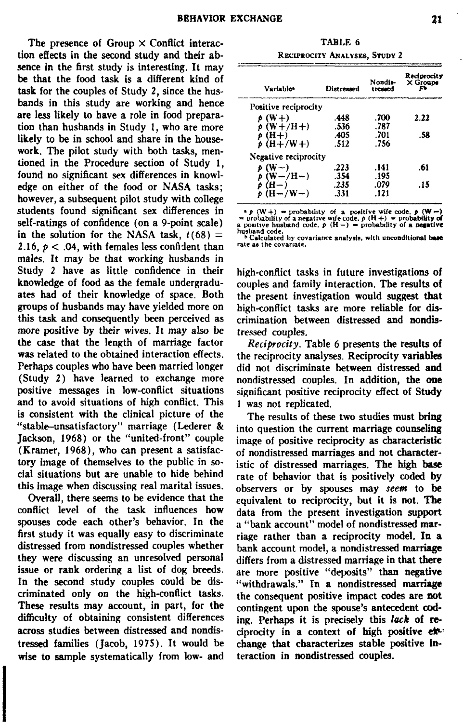The presence of Group  $\times$  Conflict interaction effects in the second study and their absence in the first study is interesting. It may be that the food task is a different kind of task for the couples of Study *2,* since the husbands in this study are working and hence are less likely to have a role in food preparation than husbands in Study 1, who are more likely to be in school and share in the housework. The pilot study with both tasks, mentioned in the Procedure section of Study 1, found no significant sex differences in knowledge on either of the food or NASA tasks; however, a subsequent pilot study with college students found significant sex differences in self-ratings of confidence (on a 9-point scale) in the solution for the NASA task,  $t(68) =$ 2.16,  $p < .04$ , with females less confident than males. It may be that working husbands in Study 2 have as little confidence in their knowledge of food as the female undergraduates had of their knowledge of space. Both groups of husbands may have yielded more on this task and consequently been perceived as more positive by their wives. It may also be the case that the length of marriage factor was related to the obtained interaction effects. Perhaps couples who have been married longer (Study 2) have learned to exchange more positive messages in low-conflict situations and to avoid situations of high conflict. This is consistent with the clinical picture of the "stable-unsatisfactory" marriage (Lederer & Jackson, 1968) or the "united-front" couple (Kramer, 1968), who can present a satisfactory image of themselves to the public in social situations but are unable to hide behind this image when discussing real marital issues.

Overall, there seems to be evidence that the conflict level of the task influences how spouses code each other's behavior. In the first study it was equally easy to discriminate distressed from nondistressed couples whether they were discussing an unresolved personal issue or rank ordering a list of dog breeds. In the second study couples could be discriminated only on the high-conflict tasks. These results may account, in part, for the difficulty of obtaining consistent differences across studies between distressed and nondistressed families (Jacob, 1975). It would be wise to sample systematically from low- and

| `ABL) |  |
|-------|--|
|-------|--|

**RECIPROCITY ANALYSES, STUDY 2**

| Variable <sup>s</sup> | <b>Distressed</b> | Nondia-<br>tressed | Reciprocity<br>X Groups |
|-----------------------|-------------------|--------------------|-------------------------|
| Positive reciprocity  |                   |                    |                         |
| $p(W+)$               | .448              | .700               | 2.22                    |
| $b(W + / H + )$       | .536              | .787               |                         |
| $\rho$ (H+)           | .405              | .701               | .58                     |
| $\phi$ (H+/W+)        | .512              | .756               |                         |
| Negative reciprocity  |                   |                    |                         |
| $p(W-)$               | .223              | .141               | .61                     |
| $\rho$ (W - /H - )    | .354              | .195               |                         |
| $\rho$ (H – )         | .235              | .079               | .15                     |
| $(H - / W - )$        | .331              | .121               |                         |

• *P* (W +) - probability of a positive wife code, *p* (W - ) -> probability of a negative wife code, *p* (H +) - probability « a positive husband code, *p* (H —) — probability of a **negative** husband code.

b Calculated by covariance analysis, with unconditional **base** rate as the covariate.

high-conflict tasks in future investigations of couples and family interaction. The results of the present investigation would suggest that high-conflict tasks are more reliable for discrimination between distressed and nondistressed couples.

*Reciprocity.* Table 6 presents the results of the reciprocity analyses. Reciprocity variables did not discriminate between distressed and nondistressed couples. In addition, the one significant positive reciprocity effect of Study 1 was not replicated.

The results of these two studies must bring into question the current marriage counseling image of positive reciprocity as characteristic of nondistressed marriages and not characteristic of distressed marriages. The high base rate of behavior that is positively coded by observers or by spouses may *seem* to be equivalent to reciprocity, but it is not. The data from the present investigation support a "bank account" model of nondistressed marriage rather than a reciprocity model. In a bank account model, a nondistressed marriage differs from a distressed marriage in that there are more positive "deposits" than negative "withdrawals." In a nondistressed marriage the consequent positive impact codes are not contingent upon the spouse's antecedent coding. Perhaps it is precisely this *lack* of reciprocity in a context of high positive *tk-* change that characterizes stable positive interaction in nondistressed couples.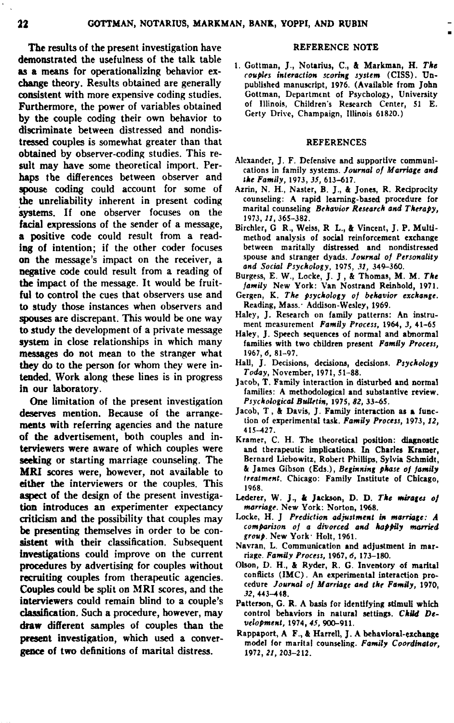**The results of the present investigation have demonstrated the usefulness of the talk table as a means for operationalizing behavior exchange theory. Results obtained are generally consistent with more expensive coding studies. Furthermore, the power of variables obtained by the couple coding their own behavior to discriminate between distressed and nondistressed couples is somewhat greater than that obtained by observer-coding studies. This result may have some theoretical import. Perhaps the differences between observer and spouse coding could account for some of the unreliability inherent in present coding systems. If one observer focuses on the facial expressions of the sender of a message, a positive code could result from a reading of intention; if the other coder focuses on the message's impact on the receiver, a negative code could result from a reading of the impact of the message. It would be fruitful to control the cues that observers use and to study those instances when observers and spouses are discrepant. This would be one way to study the development of a private message system in close relationships in which many messages do not mean to the stranger what they do to the person for whom they were intended. Work along these lines is in progress in our laboratory.**

**One limitation of the present investigation deserves mention. Because of the arrangements with referring agencies and the nature of the advertisement, both couples and interviewers were aware of which couples were seeking or starting marriage counseling. The MRI scores were, however, not available to either the interviewers or the couples. This aspect of the design of the present investigation introduces an experimenter expectancy criticism and the possibility that couples may be presenting themselves in order to be consistent with their classification. Subsequent investigations could improve on the current procedures by advertising for couples without recruiting couples from therapeutic agencies. Couples could be split on MRI scores, and the interviewers could remain blind to a couple's classification. Such a procedure, however, may draw different samples of couples than the present investigation, which used a convergence of two definitions of marital distress.**

## **REFERENCE NOTE**

**1. Gottman, J., Notarius, C, & Markman, H.** *The couples interaction scoring system* **(CISS). Unpublished manuscript, 1976. (Available from John Uottman, Department of Psychology, University of Illinois, Children's Research Center, SI E. Gerty Drive, Champaign, Illinois 61820.)**

#### **REFERENCES**

- **Alexander, J. F. Defensive and supportive communications in family systems.** *Journal of Marriage and the Family,* **1973,** *35,* **613-617.**
- **Azrin, N. H., Naster, B. J., & Jones, R. Reciprocity counseling: A rapid learning-based procedure for marital counseling** *Behavior Research and Therapy,* **1973,** *11,* **365-382.**
- **Birchler, G R., Weiss, R L., & Vincent, J. P. Multimethod analysis of social reinforcement exchange between maritally distressed and nondistressed spouse and stranger dyads.** *Journal of Personality and Social Psychology,* **1975,** *31,* **349-360.**
- **Burgess, E. W., Locke, J. J , & Thomas, M. M.** *The family* **New York: Van Nostrand Reinhold, 1971.**
- **Gergen, K.** *The psychology of behavior exchange.* **Reading, Mass.- Addison-Wesley, 1969.**
- **Haley, J. Research on family patterns: An instrument measurement** *Family Process,* **1964,** *3,* **41-65**
- **Haley, J. Speech sequences of normal and abnormal families with two children present** *Family Process,* 1967, *6*, 81-97.
- **Hall, J. Decisions, decisions, decisions.** *Psychology Today,* **November, 1971, 51-88.**
- **Jacob, T. Family interaction in disturbed and normal families: A methodological and substantive review.** *Psychological Bulletin,* **1975,** *82,* **33-«5.**
- Jacob, T, & Davis, J. Family interaction as a func**tion of experimental task.** *Family Process,* **1973,***12,* **415-427.**
- **Kramer, C. H. The theoretical position: diagnostic and therapeutic implications. In Charles Kramer, Bernard Licbowitz, Robert Phillips, Sylvia Schmidt, & James Gibson (Eds.), Beginning** *phase of family treatment.* **Chicago: Family Institute of Chicago, 1968.**
- **Lederer, W. J.,** *k* **Jackson, D. D.** *The mirages of marriage.* **New York: Norton, 1968.**
- **Locke, H. J** *Prediction adjustment in marriage: A comparison of a divorced and happily married group.* **New York' Holt, 1961.**
- **Navran, L. Communication and adjustment in marriage.** *Family Process,* **1967,** *6,* **173-180.**
- **Olson, D. H., & Ryder, R. G. Inventory of marital conflicts (IMC). An experimental interaction procedure** *Journal of Marriage and the Family,* **1970,** *32,* **443-448.**
- **Patterson, G. R. A basis for identifying stimuli which control behaviors in natural settings.** *Child Development,* **1974,** *45,* **900-911.**
- **Rappaport, A F., & Harrell, J. A behavioral-exchange model for marital counseling.** *Family Coordinator,* **1972,** *21,* **203-212.**